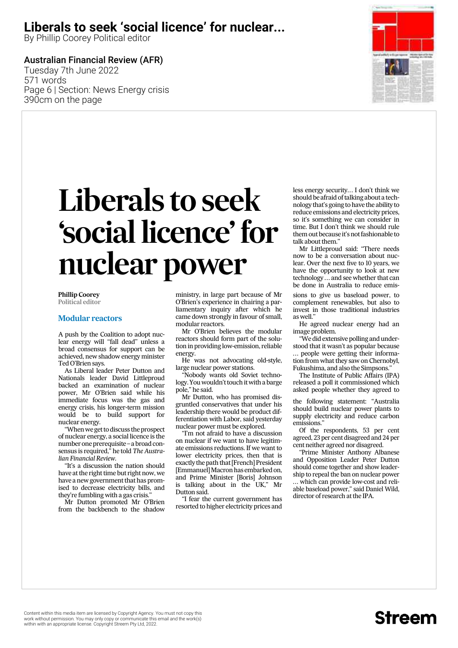### **Liberals to seek 'social licence' for nuclear...**

By Phillip Coorey Political editor

### Australian Financial Review (AFR)

Tuesday 7th June 2022 571 words Page 6 | Section: News Energy crisis 390cm on the page



# *Liberals to seek 'social licence' for nuclear power*

**Phillip Coorey Political editor**

#### **Modular reactors**

*A push by the Coalition to adopt nuclear energy will ''fall dead'' unless a broad consensus for support can be achieved, new shadow energy minister Ted O'Brien says.*

*As Liberal leader Peter Dutton and Nationals leader David Littleproud backed an examination of nuclear power, Mr O'Brien said while his immediate focus was the gas and energy crisis, his longer-term mission would be to build support for nuclear energy.*

*''When we get to discuss the prospect of nuclear energy, a social licence is the number one prerequisite – a broad consensus is required,'' he told The Australian Financial Review.*

*''It's a discussion the nation should have at the right time but right now, we have a new government that has promised to decrease electricity bills, and they're fumbling with a gas crisis.''*

*Mr Dutton promoted Mr O'Brien from the backbench to the shadow*

*ministry, in large part because of Mr O'Brien's experience in chairing a parliamentary inquiry after which he came down strongly in favour of small, modular reactors.*

*Mr O'Brien believes the modular reactors should form part of the solution in providing low-emission, reliable energy.*

*He was not advocating old-style, large nuclear power stations.*

*''Nobody wants old Soviet technology. Youwouldn't touch itwith a barge pole,'' he said.*

*Mr Dutton, who has promised disgruntled conservatives that under his leadership there would be product differentiation with Labor, said yesterday nuclear power must be explored.*

*''I'm not afraid to have a discussion on nuclear if we want to have legitimate emissions reductions. If we want to lower electricity prices, then that is exactly the path that [French] President [Emmanuel]Macron has embarked on, and Prime Minister [Boris] Johnson is talking about in the UK,'' Mr Dutton said.*

*''I fear the current government has resorted to higher electricity prices and* *less energy security... I don't think we should be afraid of talking about a technology that's going to have the ability to reduce emissions and electricity prices, so it's something we can consider in time. But I don't think we should rule them out because it's not fashionable to talk about them.''*

*Mr Littleproud said: ''There needs now to be a conversation about nuclear. Over the next five to 10 years, we have the opportunity to look at new technology ... and see whether that can be done in Australia to reduce emis-*

*sions to give us baseload power, to complement renewables, but also to invest in those traditional industries as well.''*

*He agreed nuclear energy had an image problem.*

*''We did extensive polling and understood that it wasn't as popular because ... people were getting their information from what they saw on Chernobyl, Fukushima, and also the Simpsons.''*

*The Institute of Public Affairs (IPA) released a poll it commissioned which asked people whether they agreed to*

*the following statement: ''Australia should build nuclear power plants to supply electricity and reduce carbon emissions.''*

*Of the respondents, 53 per cent agreed, 23 per cent disagreed and 24 per cent neither agreed nor disagreed.*

*''Prime Minister Anthony Albanese and Opposition Leader Peter Dutton should come together and show leadership to repeal the ban on nuclear power ... which can provide low-cost and reliable baseload power,'' said Daniel Wild, director of research at the IPA.*

## **Streem**